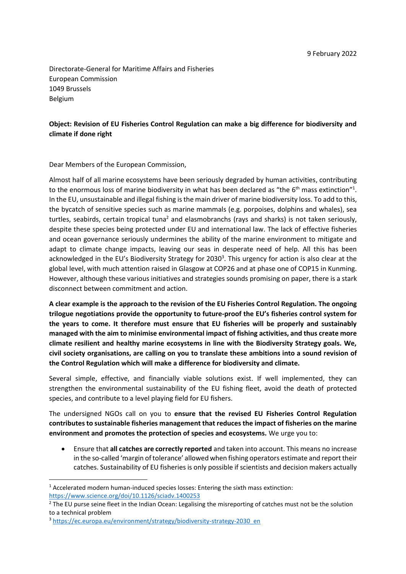Directorate-General for Maritime Affairs and Fisheries European Commission 1049 Brussels Belgium

## **Object: Revision of EU Fisheries Control Regulation can make a big difference for biodiversity and climate if done right**

Dear Members of the European Commission,

Almost half of all marine ecosystems have been seriously degraded by human activities, contributing to the enormous loss of marine biodiversity in what has been declared as "the  $6<sup>th</sup>$  mass extinction"<sup>1</sup>. In the EU, unsustainable and illegal fishing is the main driver of marine biodiversity loss. To add to this, the bycatch of sensitive species such as marine mammals (e.g. porpoises, dolphins and whales), sea turtles, seabirds, certain tropical tuna<sup>2</sup> and elasmobranchs (rays and sharks) is not taken seriously, despite these species being protected under EU and international law. The lack of effective fisheries and ocean governance seriously undermines the ability of the marine environment to mitigate and adapt to climate change impacts, leaving our seas in desperate need of help. All this has been acknowledged in the EU's Biodiversity Strategy for 2030<sup>3</sup>. This urgency for action is also clear at the global level, with much attention raised in Glasgow at COP26 and at phase one of COP15 in Kunming. However, although these various initiatives and strategies sounds promising on paper, there is a stark disconnect between commitment and action.

**A clear example is the approach to the revision of the EU Fisheries Control Regulation. The ongoing trilogue negotiations provide the opportunity to future-proof the EU's fisheries control system for the years to come. It therefore must ensure that EU fisheries will be properly and sustainably managed with the aim to minimise environmental impact of fishing activities, and thus create more climate resilient and healthy marine ecosystems in line with the Biodiversity Strategy goals. We, civil society organisations, are calling on you to translate these ambitions into a sound revision of the Control Regulation which will make a difference for biodiversity and climate.**

Several simple, effective, and financially viable solutions exist. If well implemented, they can strengthen the environmental sustainability of the EU fishing fleet, avoid the death of protected species, and contribute to a level playing field for EU fishers.

The undersigned NGOs call on you to **ensure that the revised EU Fisheries Control Regulation contributes to sustainable fisheries management that reduces the impact of fisheries on the marine environment and promotes the protection of species and ecosystems.** We urge you to:

• Ensure that **all catches are correctly reported** and taken into account. This means no increase in the so-called 'margin of tolerance' allowed when fishing operators estimate and report their catches. Sustainability of EU fisheries is only possible if scientists and decision makers actually

<sup>&</sup>lt;sup>1</sup> Accelerated modern human-induced species losses: Entering the sixth mass extinction: <https://www.science.org/doi/10.1126/sciadv.1400253>

<sup>&</sup>lt;sup>2</sup> The EU purse seine fleet in the Indian Ocean: Legalising the misreporting of catches must not be the solution [to a technical problem](http://www.transparentfisheries.org/wp-content/uploads/2021/06/Fisheries-Control-EU-purse-seine-fleet-and-Margin-of-Error.pdf)

<sup>3</sup> [https://ec.europa.eu/environment/strategy/biodiversity-strategy-2030\\_en](https://ec.europa.eu/environment/strategy/biodiversity-strategy-2030_en)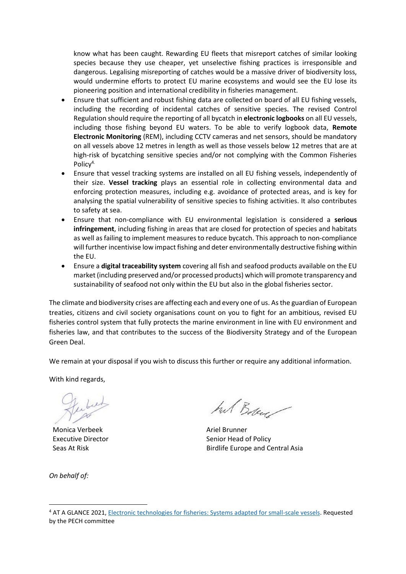know what has been caught. Rewarding EU fleets that misreport catches of similar looking species because they use cheaper, yet unselective fishing practices is irresponsible and dangerous. Legalising misreporting of catches would be a massive driver of biodiversity loss, would undermine efforts to protect EU marine ecosystems and would see the EU lose its pioneering position and international credibility in fisheries management.

- Ensure that sufficient and robust fishing data are collected on board of all EU fishing vessels, including the recording of incidental catches of sensitive species. The revised Control Regulation should require the reporting of all bycatch in **electronic logbooks** on all EU vessels, including those fishing beyond EU waters. To be able to verify logbook data, **Remote Electronic Monitoring** (REM), including CCTV cameras and net sensors, should be mandatory on all vessels above 12 metres in length as well as those vessels below 12 metres that are at high-risk of bycatching sensitive species and/or not complying with the Common Fisheries Policy<sup>4.</sup>
- Ensure that vessel tracking systems are installed on all EU fishing vessels, independently of their size. **Vessel tracking** plays an essential role in collecting environmental data and enforcing protection measures, including e.g. avoidance of protected areas, and is key for analysing the spatial vulnerability of sensitive species to fishing activities. It also contributes to safety at sea.
- Ensure that non-compliance with EU environmental legislation is considered a **serious infringement**, including fishing in areas that are closed for protection of species and habitats as well as failing to implement measures to reduce bycatch. This approach to non-compliance will further incentivise low impact fishing and deter environmentally destructive fishing within the EU.
- Ensure a **digital traceability system** covering all fish and seafood products available on the EU market (including preserved and/or processed products) which will promote transparency and sustainability of seafood not only within the EU but also in the global fisheries sector.

The climate and biodiversity crises are affecting each and every one of us. As the guardian of European treaties, citizens and civil society organisations count on you to fight for an ambitious, revised EU fisheries control system that fully protects the marine environment in line with EU environment and fisheries law, and that contributes to the success of the Biodiversity Strategy and of the European Green Deal.

We remain at your disposal if you wish to discuss this further or require any additional information.

With kind regards,

Monica Verbeek Executive Director Seas At Risk

*On behalf of:*

hut Bobey

Ariel Brunner Senior Head of Policy Birdlife Europe and Central Asia

<sup>4</sup> AT A GLANCE 2021, [Electronic technologies for fisheries: Systems adapted for small-scale vessels.](https://www.europarl.europa.eu/RegData/etudes/ATAG/2021/690893/IPOL_ATA(2021)690893_EN.pdf) Requested by the PECH committee